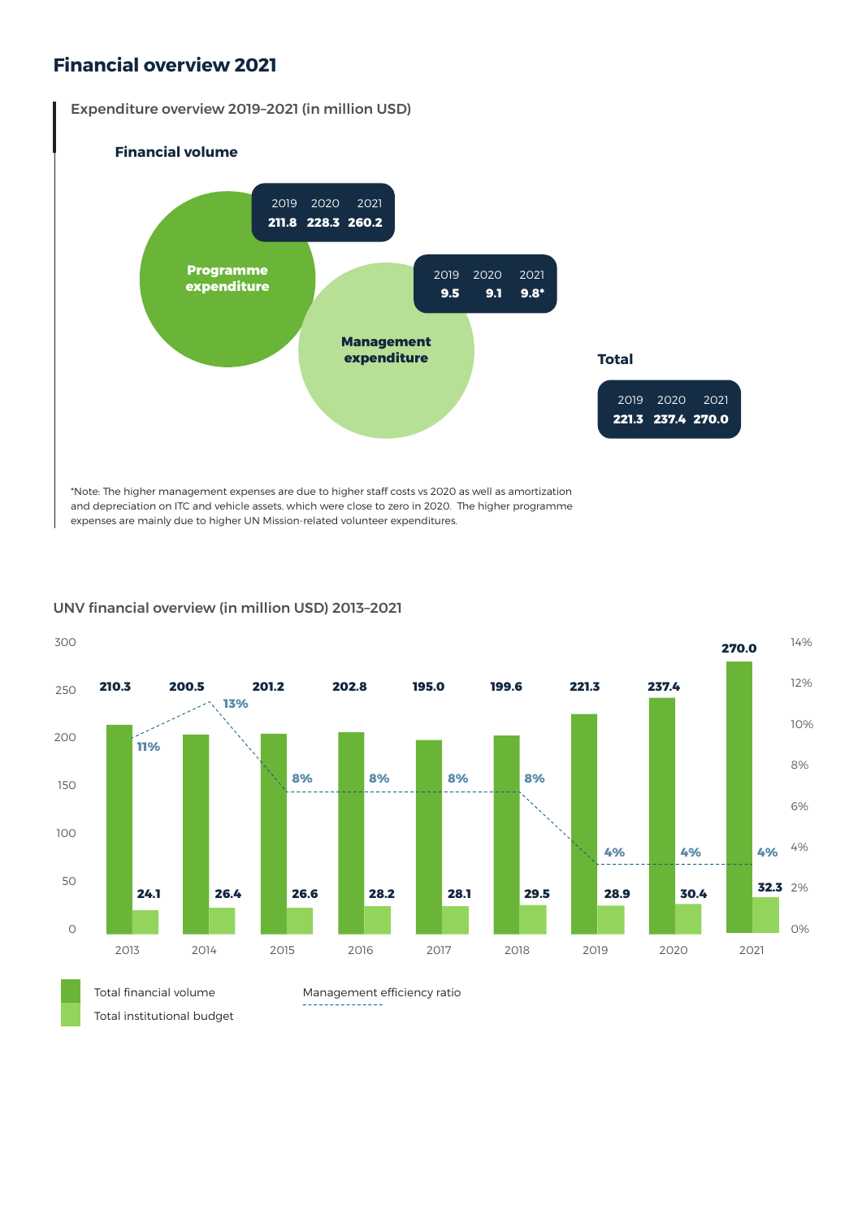## **Financial overview 2021**

Expenditure overview 2019–2021 (in million USD)



and depreciation on ITC and vehicle assets, which were close to zero in 2020. The higher programme expenses are mainly due to higher UN Mission-related volunteer expenditures.

## UNV financial overview (in million USD) 2013–2021



300

Total institutional budget

Management efficiency ratio <u>\_\_\_\_\_\_\_\_\_\_\_\_\_</u>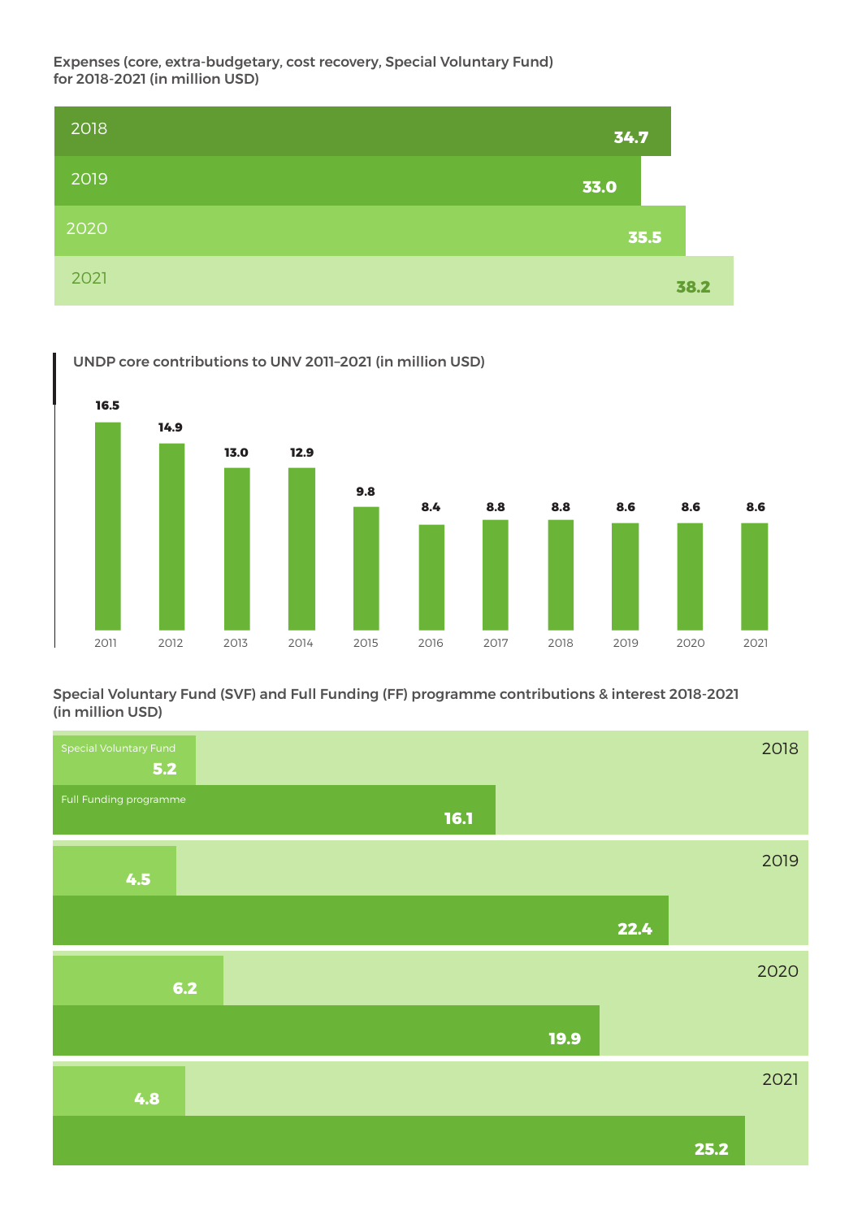Expenses (core, extra-budgetary, cost recovery, Special Voluntary Fund) for 2018-2021 (in million USD)